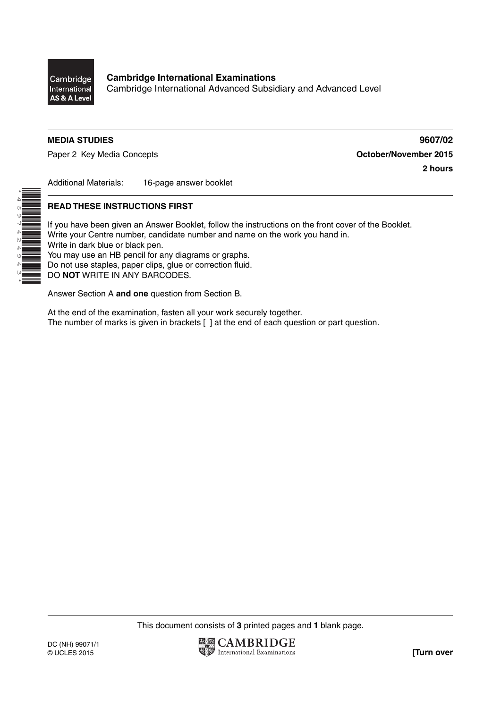

\*4697424943\*

Cambridge International Advanced Subsidiary and Advanced Level

## **MEDIA STUDIES 9607/02**

Paper 2 Key Media Concepts **Concepts Concepts Concepts October/November 2015** 

**2 hours**

Additional Materials: 16-page answer booklet

## **READ THESE INSTRUCTIONS FIRST**

If you have been given an Answer Booklet, follow the instructions on the front cover of the Booklet. Write your Centre number, candidate number and name on the work you hand in. Write in dark blue or black pen. You may use an HB pencil for any diagrams or graphs. Do not use staples, paper clips, glue or correction fluid. DO **NOT** WRITE IN ANY BARCODES.

Answer Section A **and one** question from Section B.

At the end of the examination, fasten all your work securely together. The number of marks is given in brackets [ ] at the end of each question or part question.

This document consists of **3** printed pages and **1** blank page.

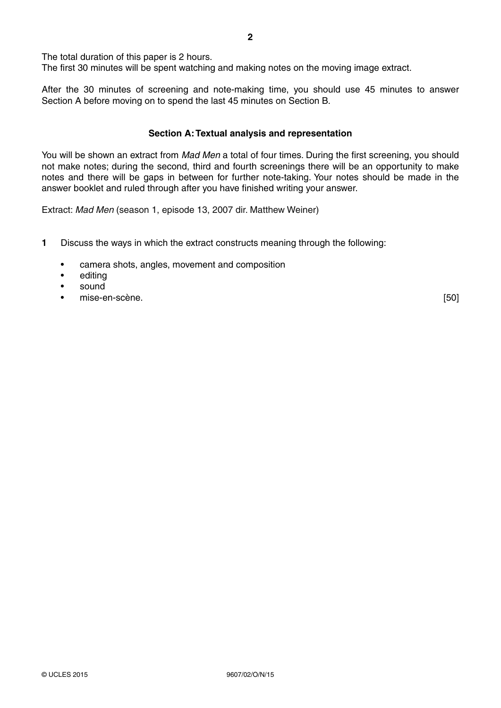The total duration of this paper is 2 hours.

The first 30 minutes will be spent watching and making notes on the moving image extract.

After the 30 minutes of screening and note-making time, you should use 45 minutes to answer Section A before moving on to spend the last 45 minutes on Section B.

#### **Section A: Textual analysis and representation**

You will be shown an extract from *Mad Men* a total of four times. During the first screening, you should not make notes; during the second, third and fourth screenings there will be an opportunity to make notes and there will be gaps in between for further note-taking. Your notes should be made in the answer booklet and ruled through after you have finished writing your answer.

Extract: *Mad Men* (season 1, episode 13, 2007 dir. Matthew Weiner)

- **1** Discuss the ways in which the extract constructs meaning through the following:
	- camera shots, angles, movement and composition
	- editing
	- sound
	- enise-en-scène. [50] animatique en-scène. [50] animatique en-scène. [50] animatique en-scène. [50] animatique en-scène en  $\sim$  [50] animatique en-scène en  $\sim$  [50] animatique en  $\sim$  [50] animatique en  $\sim$  [50] animatiqu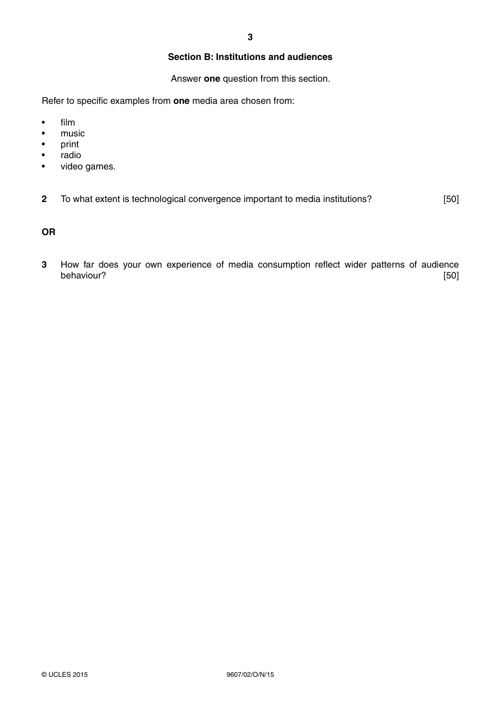# **Section B: Institutions and audiences**

Answer **one** question from this section.

Refer to specific examples from **one** media area chosen from:

- film
- music
- print
- radio
- video games.

**2** To what extent is technological convergence important to media institutions? [50]

## **OR**

**3** How far does your own experience of media consumption reflect wider patterns of audience behaviour? [50]